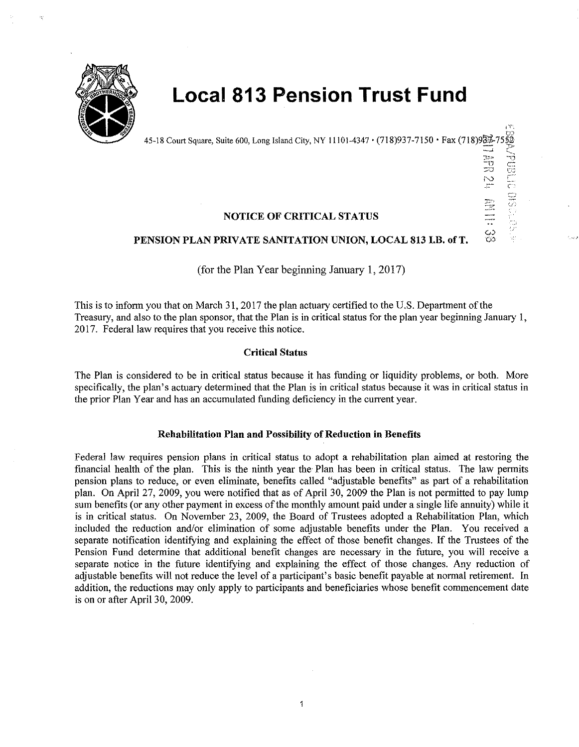

# **Local 813 Pension Trust Fund**

45-18 Court Square, Suite 600, Long Island City, NY 11101-4347  $\cdot$  (718)937-7150  $\cdot$  Fax (718)93 $\frac{3}{2}$ 

1T. en

**A**<br> **A**<br> **CONS**<br> **CONS** 

광 <u>명</u><br>30 문 !'·0

د.<br>تا

## NOTICE OF CRITICAL STATUS

## PENSION PLAN PRIVATE SANITATION UNION, LOCAL 813 I.B. of T.

(for the Plan Year beginning January 1, 2017)

This is to inform you that on March 31, 2017 the plan actuary certified to the U.S. Department of the Treasury, and also to the plan sponsor, that the Plan is in critical status for the plan year beginning January l, 2017. Federal law requires that you receive this notice.

## Critical Status

The Plan is considered to be in critical status because it has fonding or liquidity problems, or both. More specifically, the plan's actuary determined that the Plan is in critical status because it was in critical status in the prior Plan Year and has an accumulated funding deficiency in the current year.

## Rehabilitation Plan and Possibility of Reduction in Benefits

Federal law requires pension plans in critical status to adopt a rehabilitation plan aimed at restoring the financial health of the plan. This is the ninth year the Plan has been in critical status. The law permits pension plans to reduce, or even eliminate, benefits called "adjustable benefits" as part of a rehabilitation plan. On April 27, 2009, yon were notified that as of April 30, 2009 the Plan is not pennitted to pay lump sum benefits (or any other payment in excess of the monthly amount paid under a single life annuity) while it is in critical status. On November 23, 2009, the Board of Trustees adopted a Rehabilitation Plan, which included the reduction and/or elimination of some adjustable benefits under the Plan. You received a separate notification identifying and explaining the effect of those benefit changes. If the Trustees of the Pension Fund determine that additional benefit changes are necessary in the future, you will receive a separate notice in the future identifying and explaining the effect of those changes. Any reduction of adjustable benefits will not reduce the level of a participant's basic benefit payable at normal retirement. In addition, the reductions may only apply to participants and beneficiaries whose benefit commencement date is on or after April 30, 2009.